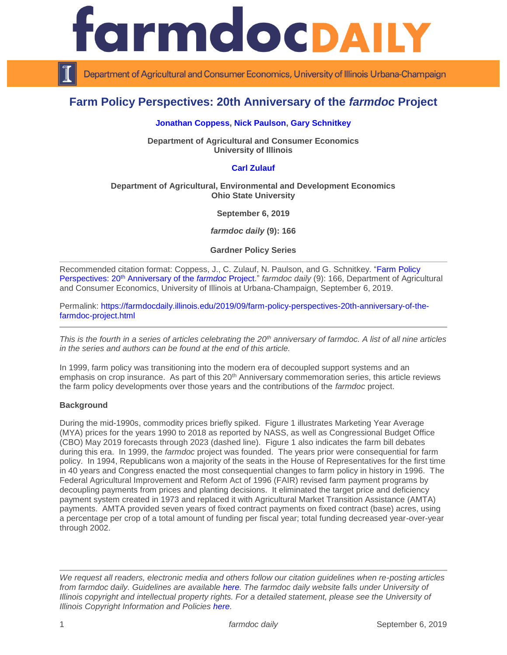

Department of Agricultural and Consumer Economics, University of Illinois Urbana-Champaign

# **Farm Policy Perspectives: 20th Anniversary of the** *farmdoc* **Project**

#### **[Jonathan Coppess,](https://ace.illinois.edu/directory/jwcoppes) [Nick Paulson,](https://ace.illinois.edu/directory/npaulson) [Gary Schnitkey](https://ace.illinois.edu/directory/schnitke)**

**Department of Agricultural and Consumer Economics University of Illinois**

## **[Carl Zulauf](http://aede.osu.edu/our-people/carl-zulauf)**

#### **Department of Agricultural, Environmental and Development Economics Ohio State University**

**September 6, 2019**

*farmdoc daily* **(9): 166**

**Gardner Policy Series**

Recommended citation format: Coppess, J., C. Zulauf, N. Paulson, and G. Schnitkey. ["Farm Policy](https://farmdocdaily.illinois.edu/2019/09/farm-policy-perspectives-20th-anniversary-of-the-farmdoc-project.html)  Perspectives: 20th [Anniversary of the](https://farmdocdaily.illinois.edu/2019/09/farm-policy-perspectives-20th-anniversary-of-the-farmdoc-project.html) *farmdoc* Project." *farmdoc daily* (9): 166, Department of Agricultural and Consumer Economics, University of Illinois at Urbana-Champaign, September 6, 2019.

Permalink: [https://farmdocdaily.illinois.edu/2019/09/farm-policy-perspectives-20th-anniversary-of-the](https://farmdocdaily.illinois.edu/2019/09/farm-policy-perspectives-20th-anniversary-of-the-farmdoc-project.html)[farmdoc-project.html](https://farmdocdaily.illinois.edu/2019/09/farm-policy-perspectives-20th-anniversary-of-the-farmdoc-project.html)

*This is the fourth in a series of articles celebrating the 20th anniversary of farmdoc. A list of all nine articles in the series and authors can be found at the end of this article.* 

In 1999, farm policy was transitioning into the modern era of decoupled support systems and an emphasis on crop insurance. As part of this 20<sup>th</sup> Anniversary commemoration series, this article reviews the farm policy developments over those years and the contributions of the *farmdoc* project.

#### **Background**

During the mid-1990s, commodity prices briefly spiked. Figure 1 illustrates Marketing Year Average (MYA) prices for the years 1990 to 2018 as reported by NASS, as well as Congressional Budget Office (CBO) May 2019 forecasts through 2023 (dashed line). Figure 1 also indicates the farm bill debates during this era. In 1999, the *farmdoc* project was founded. The years prior were consequential for farm policy. In 1994, Republicans won a majority of the seats in the House of Representatives for the first time in 40 years and Congress enacted the most consequential changes to farm policy in history in 1996. The Federal Agricultural Improvement and Reform Act of 1996 (FAIR) revised farm payment programs by decoupling payments from prices and planting decisions. It eliminated the target price and deficiency payment system created in 1973 and replaced it with Agricultural Market Transition Assistance (AMTA) payments. AMTA provided seven years of fixed contract payments on fixed contract (base) acres, using a percentage per crop of a total amount of funding per fiscal year; total funding decreased year-over-year through 2002.

*We request all readers, electronic media and others follow our citation guidelines when re-posting articles from farmdoc daily. Guidelines are available [here.](http://farmdocdaily.illinois.edu/citationguide.html) The farmdoc daily website falls under University of Illinois copyright and intellectual property rights. For a detailed statement, please see the University of Illinois Copyright Information and Policies [here.](http://www.cio.illinois.edu/policies/copyright/)*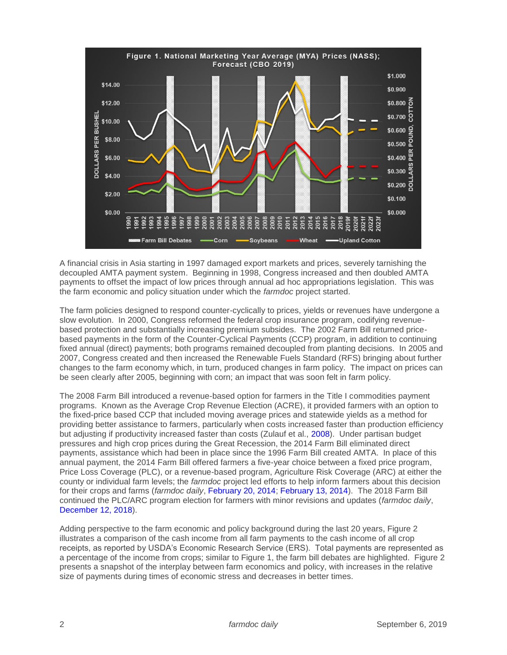

A financial crisis in Asia starting in 1997 damaged export markets and prices, severely tarnishing the decoupled AMTA payment system. Beginning in 1998, Congress increased and then doubled AMTA payments to offset the impact of low prices through annual ad hoc appropriations legislation. This was the farm economic and policy situation under which the *farmdoc* project started.

The farm policies designed to respond counter-cyclically to prices, yields or revenues have undergone a slow evolution. In 2000, Congress reformed the federal crop insurance program, codifying revenuebased protection and substantially increasing premium subsides. The 2002 Farm Bill returned pricebased payments in the form of the Counter-Cyclical Payments (CCP) program, in addition to continuing fixed annual (direct) payments; both programs remained decoupled from planting decisions. In 2005 and 2007, Congress created and then increased the Renewable Fuels Standard (RFS) bringing about further changes to the farm economy which, in turn, produced changes in farm policy. The impact on prices can be seen clearly after 2005, beginning with corn; an impact that was soon felt in farm policy.

The 2008 Farm Bill introduced a revenue-based option for farmers in the Title I commodities payment programs. Known as the Average Crop Revenue Election (ACRE), it provided farmers with an option to the fixed-price based CCP that included moving average prices and statewide yields as a method for providing better assistance to farmers, particularly when costs increased faster than production efficiency but adjusting if productivity increased faster than costs (Zulauf et al., [2008\)](http://www.choicesmagazine.org/magazine/article.php?article=33). Under partisan budget pressures and high crop prices during the Great Recession, the 2014 Farm Bill eliminated direct payments, assistance which had been in place since the 1996 Farm Bill created AMTA. In place of this annual payment, the 2014 Farm Bill offered farmers a five-year choice between a fixed price program, Price Loss Coverage (PLC), or a revenue-based program, Agriculture Risk Coverage (ARC) at either the county or individual farm levels; the *farmdoc* project led efforts to help inform farmers about this decision for their crops and farms (*farmdoc daily*, [February 20, 2014;](https://farmdocdaily.illinois.edu/2014/02/arc-and-plc-in-2014-farm-bill.html) [February 13, 2014\)](https://farmdocdaily.illinois.edu/2014/02/2014-farm-bill-informational-efforts-on-farmdoc.html). The 2018 Farm Bill continued the PLC/ARC program election for farmers with minor revisions and updates (*farmdoc daily*, [December 12, 2018\)](https://farmdocdaily.illinois.edu/2018/12/the-agriculture-improvement-act-of-2018-initial-review.html).

Adding perspective to the farm economic and policy background during the last 20 years, Figure 2 illustrates a comparison of the cash income from all farm payments to the cash income of all crop receipts, as reported by USDA's Economic Research Service (ERS). Total payments are represented as a percentage of the income from crops; similar to Figure 1, the farm bill debates are highlighted. Figure 2 presents a snapshot of the interplay between farm economics and policy, with increases in the relative size of payments during times of economic stress and decreases in better times.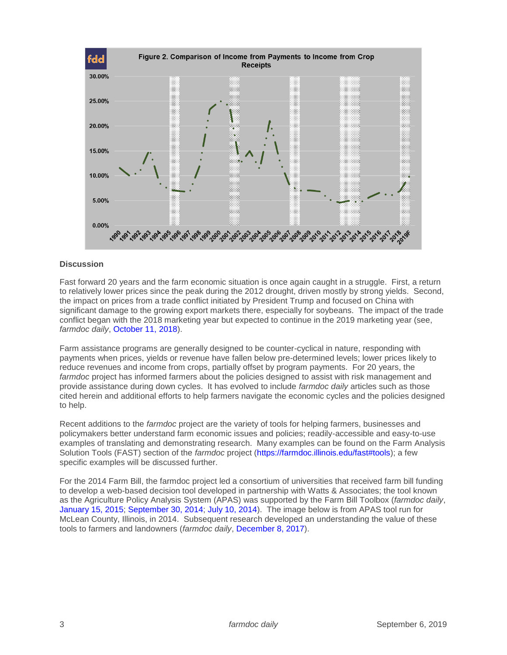

## **Discussion**

Fast forward 20 years and the farm economic situation is once again caught in a struggle. First, a return to relatively lower prices since the peak during the 2012 drought, driven mostly by strong yields. Second, the impact on prices from a trade conflict initiated by President Trump and focused on China with significant damage to the growing export markets there, especially for soybeans. The impact of the trade conflict began with the 2018 marketing year but expected to continue in the 2019 marketing year (see, *farmdoc daily*, [October 11, 2018\)](https://farmdocdaily.illinois.edu/2018/10/reviewing-prices-and-market-facilitation-payments.html).

Farm assistance programs are generally designed to be counter-cyclical in nature, responding with payments when prices, yields or revenue have fallen below pre-determined levels; lower prices likely to reduce revenues and income from crops, partially offset by program payments. For 20 years, the *farmdoc* project has informed farmers about the policies designed to assist with risk management and provide assistance during down cycles. It has evolved to include *farmdoc daily* articles such as those cited herein and additional efforts to help farmers navigate the economic cycles and the policies designed to help.

Recent additions to the *farmdoc* project are the variety of tools for helping farmers, businesses and policymakers better understand farm economic issues and policies; readily-accessible and easy-to-use examples of translating and demonstrating research. Many examples can be found on the Farm Analysis Solution Tools (FAST) section of the *farmdoc* project [\(https://farmdoc.illinois.edu/fast#tools\)](https://farmdoc.illinois.edu/fast#tools); a few specific examples will be discussed further.

For the 2014 Farm Bill, the farmdoc project led a consortium of universities that received farm bill funding to develop a web-based decision tool developed in partnership with Watts & Associates; the tool known as the Agriculture Policy Analysis System (APAS) was supported by the Farm Bill Toolbox (*farmdoc daily*, [January 15, 2015;](https://farmdocdaily.illinois.edu/2015/01/update-on-farm-bill-toolbox-and-decisions.html) [September 30, 2014;](https://farmdocdaily.illinois.edu/2014/09/farm-bill-decision-deadlines-and-farm-bill-toolbox.html) [July 10, 2014\)](https://farmdocdaily.illinois.edu/2014/07/introducing-farm-bill-toolbox.html). The image below is from APAS tool run for McLean County, Illinois, in 2014. Subsequent research developed an understanding the value of these tools to farmers and landowners (*farmdoc daily*, [December 8, 2017\)](https://farmdocdaily.illinois.edu/2017/12/value-of-decision-tools-to-farmers-and-landowners.html).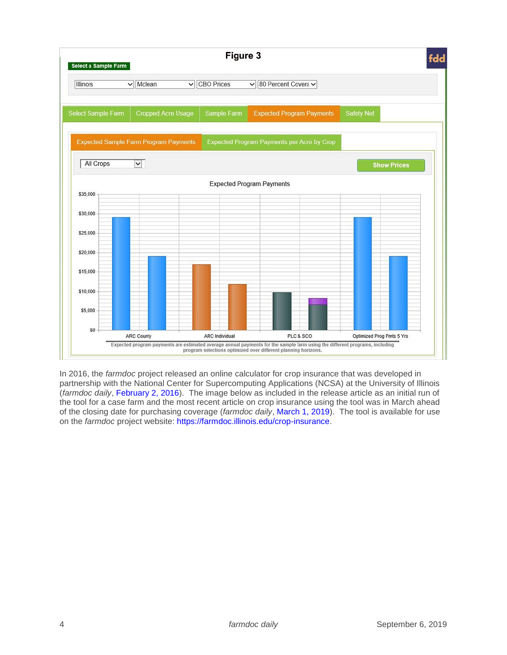

In 2016, the *farmdoc* project released an online calculator for crop insurance that was developed in partnership with the National Center for Supercomputing Applications (NCSA) at the University of Illinois (*farmdoc daily*, [February 2, 2016\)](https://farmdocdaily.illinois.edu/2016/02/release-ifarm-premium-calculator-payment-evaluator.html). The image below as included in the release article as an initial run of the tool for a case farm and the most recent article on crop insurance using the tool was in March ahead of the closing date for purchasing coverage (*farmdoc daily*, [March 1, 2019\)](https://farmdocdaily.illinois.edu/2019/03/crop-insurance-decisions-for-2019.html). The tool is available for use on the *farmdoc* project website: [https://farmdoc.illinois.edu/crop-insurance.](https://farmdoc.illinois.edu/crop-insurance)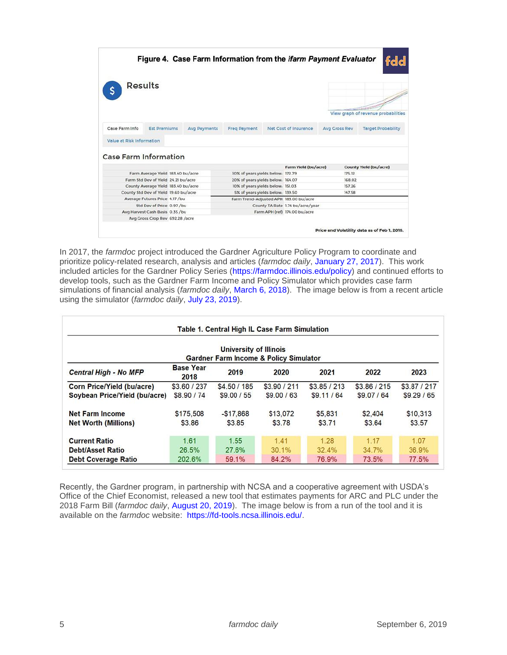| <b>Results</b><br>View graph of revenue probabilities<br><b>Est Premiums</b><br>Net Cost of Insurance<br><b>Target Probability</b><br><b>Avg Payments</b><br>Freq Payment<br><b>Avg Cross Rev</b><br>Farm Yield (bu/acre)<br>County Yield (bu/acre)<br>Farm Average Yield 183.40 bu/acre<br>30% of years yields below: 172.79<br>175.12<br>Farm Std Dev of Yield 24.21 bu/acre<br>20% of years yields below: 164.07<br>168.02<br>10% of years yields below: 151.03<br>157.26<br>County Average Yield 183.40 bu/acre<br>5% of years yields below: 139.50<br>147.58<br>County Std Dev of Yield 19.60 bu/acre<br>Average Futures Price 4.17 /bu<br>Farm Trend-Adjusted APH 183.00 bu/acre<br>Std Dev of Price 0.97 /bu<br>County TA Rate 1.74 bu/acre/year<br>Avg Harvest Cash Basis 0.35 /bu<br>Farm APH (ref) 174.00 bu/acre<br>Avg Gross Crop Rev 692.28 /acre |                |  |  |  |  |  |  | Figure 4. Case Farm Information from the <i>ifarm Payment Evaluator</i> | fdd |
|----------------------------------------------------------------------------------------------------------------------------------------------------------------------------------------------------------------------------------------------------------------------------------------------------------------------------------------------------------------------------------------------------------------------------------------------------------------------------------------------------------------------------------------------------------------------------------------------------------------------------------------------------------------------------------------------------------------------------------------------------------------------------------------------------------------------------------------------------------------|----------------|--|--|--|--|--|--|-------------------------------------------------------------------------|-----|
| Value at Risk Information<br><b>Case Farm Information</b>                                                                                                                                                                                                                                                                                                                                                                                                                                                                                                                                                                                                                                                                                                                                                                                                      |                |  |  |  |  |  |  |                                                                         |     |
|                                                                                                                                                                                                                                                                                                                                                                                                                                                                                                                                                                                                                                                                                                                                                                                                                                                                |                |  |  |  |  |  |  |                                                                         |     |
|                                                                                                                                                                                                                                                                                                                                                                                                                                                                                                                                                                                                                                                                                                                                                                                                                                                                | Case Farm Info |  |  |  |  |  |  |                                                                         |     |
|                                                                                                                                                                                                                                                                                                                                                                                                                                                                                                                                                                                                                                                                                                                                                                                                                                                                |                |  |  |  |  |  |  |                                                                         |     |
|                                                                                                                                                                                                                                                                                                                                                                                                                                                                                                                                                                                                                                                                                                                                                                                                                                                                |                |  |  |  |  |  |  |                                                                         |     |
|                                                                                                                                                                                                                                                                                                                                                                                                                                                                                                                                                                                                                                                                                                                                                                                                                                                                |                |  |  |  |  |  |  |                                                                         |     |
|                                                                                                                                                                                                                                                                                                                                                                                                                                                                                                                                                                                                                                                                                                                                                                                                                                                                |                |  |  |  |  |  |  |                                                                         |     |
|                                                                                                                                                                                                                                                                                                                                                                                                                                                                                                                                                                                                                                                                                                                                                                                                                                                                |                |  |  |  |  |  |  |                                                                         |     |
|                                                                                                                                                                                                                                                                                                                                                                                                                                                                                                                                                                                                                                                                                                                                                                                                                                                                |                |  |  |  |  |  |  |                                                                         |     |
|                                                                                                                                                                                                                                                                                                                                                                                                                                                                                                                                                                                                                                                                                                                                                                                                                                                                |                |  |  |  |  |  |  |                                                                         |     |
|                                                                                                                                                                                                                                                                                                                                                                                                                                                                                                                                                                                                                                                                                                                                                                                                                                                                |                |  |  |  |  |  |  |                                                                         |     |
|                                                                                                                                                                                                                                                                                                                                                                                                                                                                                                                                                                                                                                                                                                                                                                                                                                                                |                |  |  |  |  |  |  |                                                                         |     |
|                                                                                                                                                                                                                                                                                                                                                                                                                                                                                                                                                                                                                                                                                                                                                                                                                                                                |                |  |  |  |  |  |  |                                                                         |     |
|                                                                                                                                                                                                                                                                                                                                                                                                                                                                                                                                                                                                                                                                                                                                                                                                                                                                |                |  |  |  |  |  |  |                                                                         |     |
|                                                                                                                                                                                                                                                                                                                                                                                                                                                                                                                                                                                                                                                                                                                                                                                                                                                                |                |  |  |  |  |  |  |                                                                         |     |

In 2017, the *farmdoc* project introduced the Gardner Agriculture Policy Program to coordinate and prioritize policy-related research, analysis and articles (*farmdoc daily*, [January 27, 2017\)](https://farmdocdaily.illinois.edu/2017/01/introducing-the-gardner-agriculture-policy-program.html). This work included articles for the Gardner Policy Series [\(https://farmdoc.illinois.edu/policy\)](https://farmdoc.illinois.edu/policy) and continued efforts to develop tools, such as the Gardner Farm Income and Policy Simulator which provides case farm simulations of financial analysis (*farmdoc daily*, [March 6, 2018\)](https://farmdocdaily.illinois.edu/2018/03/introduce-gardner-farm-income-policy-simulator.html). The image below is from a recent article using the simulator (*farmdoc daily*, [July 23, 2019\)](https://farmdocdaily.illinois.edu/2019/07/mfp-impact-on-2019-through-2023-incomes-and-financial-positions.html).

|                                                   |                          | <b>University of Illinois</b> |              |              |              |              |  |  |  |  |  |  |  |
|---------------------------------------------------|--------------------------|-------------------------------|--------------|--------------|--------------|--------------|--|--|--|--|--|--|--|
| <b>Gardner Farm Income &amp; Policy Simulator</b> |                          |                               |              |              |              |              |  |  |  |  |  |  |  |
| <b>Central High - No MFP</b>                      | <b>Base Year</b><br>2018 | 2019                          | 2020         | 2021         | 2022         | 2023         |  |  |  |  |  |  |  |
| <b>Corn Price/Yield (bu/acre)</b>                 | \$3.60 / 237             | \$4,50 / 185                  | \$3,90 / 211 | \$3.85 / 213 | \$3.86 / 215 | \$3.87 / 217 |  |  |  |  |  |  |  |
| Soybean Price/Yield (bu/acre)                     | \$8,90 / 74              | \$9.00 / 55                   | \$9.00 / 63  | \$9.11/64    | \$9.07 / 64  | \$9.29/65    |  |  |  |  |  |  |  |
| <b>Net Farm Income</b>                            | \$175,508                | $-$17.868$                    | \$13,072     | \$5,831      | \$2,404      | \$10,313     |  |  |  |  |  |  |  |
| <b>Net Worth (Millions)</b>                       | \$3.86                   | \$3.85                        | \$3.78       | \$3.71       | \$3.64       | \$3.57       |  |  |  |  |  |  |  |
| <b>Current Ratio</b>                              | 1.61                     | 1.55                          | 1.41         | 1.28         | 1.17         | 1.07         |  |  |  |  |  |  |  |
| <b>Debt/Asset Ratio</b>                           | 26.5%                    | 27.6%                         | 30.1%        | 32.4%        | 34.7%        | 36.9%        |  |  |  |  |  |  |  |
| <b>Debt Coverage Ratio</b>                        | 202.6%                   | 59.1%                         | 84.2%        | 76.9%        | 73.5%        | 77.5%        |  |  |  |  |  |  |  |

Recently, the Gardner program, in partnership with NCSA and a cooperative agreement with USDA's Office of the Chief Economist, released a new tool that estimates payments for ARC and PLC under the 2018 Farm Bill (*farmdoc daily*, [August 20, 2019\)](https://farmdocdaily.illinois.edu/2019/08/introducing-the-gardner-farmdoc-payment-calculator.html). The image below is from a run of the tool and it is available on the *farmdoc* website: [https://fd-tools.ncsa.illinois.edu/.](https://fd-tools.ncsa.illinois.edu/)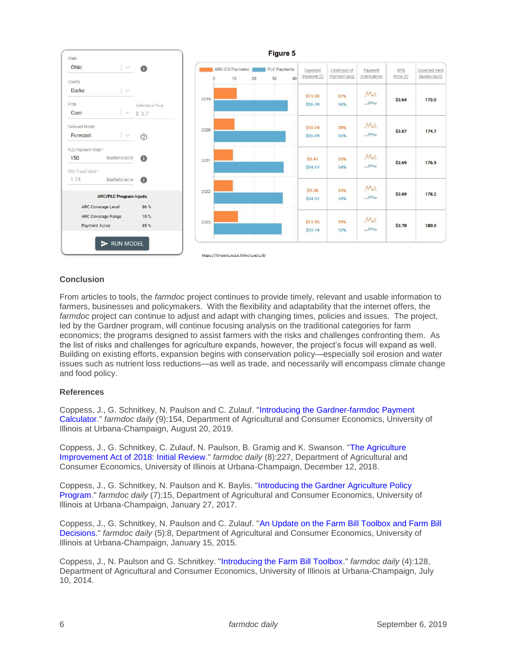

### **Conclusion**

From articles to tools, the *farmdoc* project continues to provide timely, relevant and usable information to farmers, businesses and policymakers. With the flexibility and adaptability that the internet offers, the *farmdoc* project can continue to adjust and adapt with changing times, policies and issues. The project, led by the Gardner program, will continue focusing analysis on the traditional categories for farm economics; the programs designed to assist farmers with the risks and challenges confronting them. As the list of risks and challenges for agriculture expands, however, the project's focus will expand as well. Building on existing efforts, expansion begins with conservation policy—especially soil erosion and water issues such as nutrient loss reductions—as well as trade, and necessarily will encompass climate change and food policy.

#### **References**

Coppess, J., G. Schnitkey, N. Paulson and C. Zulauf. ["Introducing the Gardner-farmdoc Payment](https://farmdocdaily.illinois.edu/2019/08/introducing-the-gardner-farmdoc-payment-calculator.html)  [Calculator.](https://farmdocdaily.illinois.edu/2019/08/introducing-the-gardner-farmdoc-payment-calculator.html)" *farmdoc daily* (9):154, Department of Agricultural and Consumer Economics, University of Illinois at Urbana-Champaign, August 20, 2019.

Coppess, J., G. Schnitkey, C. Zulauf, N. Paulson, B. Gramig and K. Swanson. ["The Agriculture](https://farmdocdaily.illinois.edu/2018/12/the-agriculture-improvement-act-of-2018-initial-review.html)  [Improvement Act of 2018: Initial Review.](https://farmdocdaily.illinois.edu/2018/12/the-agriculture-improvement-act-of-2018-initial-review.html)" *farmdoc daily* (8):227, Department of Agricultural and Consumer Economics, University of Illinois at Urbana-Champaign, December 12, 2018.

Coppess, J., G. Schnitkey, N. Paulson and K. Baylis. ["Introducing the Gardner Agriculture Policy](https://farmdocdaily.illinois.edu/2017/01/introducing-the-gardner-agriculture-policy-program.html)  [Program.](https://farmdocdaily.illinois.edu/2017/01/introducing-the-gardner-agriculture-policy-program.html)" *farmdoc daily* (7):15, Department of Agricultural and Consumer Economics, University of Illinois at Urbana-Champaign, January 27, 2017.

Coppess, J., G. Schnitkey, N. Paulson and C. Zulauf. ["An Update on the Farm Bill Toolbox and Farm Bill](https://farmdocdaily.illinois.edu/2015/01/update-on-farm-bill-toolbox-and-decisions.html)  [Decisions.](https://farmdocdaily.illinois.edu/2015/01/update-on-farm-bill-toolbox-and-decisions.html)" *farmdoc daily* (5):8, Department of Agricultural and Consumer Economics, University of Illinois at Urbana-Champaign, January 15, 2015.

Coppess, J., N. Paulson and G. Schnitkey. ["Introducing the Farm Bill Toolbox.](https://farmdocdaily.illinois.edu/2014/07/introducing-farm-bill-toolbox.html)" *farmdoc daily* (4):128, Department of Agricultural and Consumer Economics, University of Illinois at Urbana-Champaign, July 10, 2014.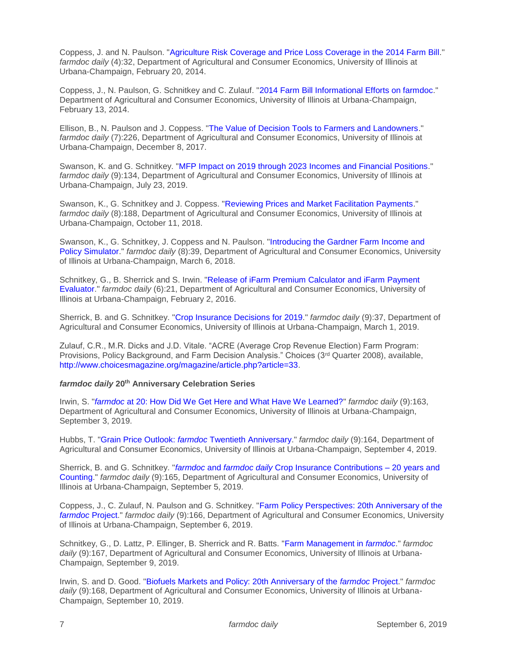Coppess, J. and N. Paulson. ["Agriculture Risk Coverage and Price Loss Coverage in the 2014 Farm Bill.](https://farmdocdaily.illinois.edu/2014/02/arc-and-plc-in-2014-farm-bill.html)" *farmdoc daily* (4):32, Department of Agricultural and Consumer Economics, University of Illinois at Urbana-Champaign, February 20, 2014.

Coppess, J., N. Paulson, G. Schnitkey and C. Zulauf. ["2014 Farm Bill Informational Efforts on farmdoc.](https://farmdocdaily.illinois.edu/2014/02/2014-farm-bill-informational-efforts-on-farmdoc.html)" Department of Agricultural and Consumer Economics, University of Illinois at Urbana-Champaign, February 13, 2014.

Ellison, B., N. Paulson and J. Coppess. ["The Value of Decision Tools to Farmers and Landowners.](https://farmdocdaily.illinois.edu/2017/12/value-of-decision-tools-to-farmers-and-landowners.html)" *farmdoc daily* (7):226, Department of Agricultural and Consumer Economics, University of Illinois at Urbana-Champaign, December 8, 2017.

Swanson, K. and G. Schnitkey. ["MFP Impact on 2019 through 2023 Incomes and Financial Positions.](https://farmdocdaily.illinois.edu/2019/07/mfp-impact-on-2019-through-2023-incomes-and-financial-positions.html)" *farmdoc daily* (9):134, Department of Agricultural and Consumer Economics, University of Illinois at Urbana-Champaign, July 23, 2019.

Swanson, K., G. Schnitkey and J. Coppess. ["Reviewing Prices and Market Facilitation Payments.](https://farmdocdaily.illinois.edu/2018/10/reviewing-prices-and-market-facilitation-payments.html)" *farmdoc daily* (8):188, Department of Agricultural and Consumer Economics, University of Illinois at Urbana-Champaign, October 11, 2018.

Swanson, K., G. Schnitkey, J. Coppess and N. Paulson. ["Introducing the Gardner Farm Income and](https://farmdocdaily.illinois.edu/2018/03/introduce-gardner-farm-income-policy-simulator.html)  [Policy Simulator.](https://farmdocdaily.illinois.edu/2018/03/introduce-gardner-farm-income-policy-simulator.html)" *farmdoc daily* (8):39, Department of Agricultural and Consumer Economics, University of Illinois at Urbana-Champaign, March 6, 2018.

Schnitkey, G., B. Sherrick and S. Irwin. ["Release of iFarm Premium Calculator and iFarm Payment](https://farmdocdaily.illinois.edu/2016/02/release-ifarm-premium-calculator-payment-evaluator.html)  [Evaluator.](https://farmdocdaily.illinois.edu/2016/02/release-ifarm-premium-calculator-payment-evaluator.html)" *farmdoc daily* (6):21, Department of Agricultural and Consumer Economics, University of Illinois at Urbana-Champaign, February 2, 2016.

Sherrick, B. and G. Schnitkey. ["Crop Insurance Decisions for 2019.](https://farmdocdaily.illinois.edu/2019/03/crop-insurance-decisions-for-2019.html)" *farmdoc daily* (9):37, Department of Agricultural and Consumer Economics, University of Illinois at Urbana-Champaign, March 1, 2019.

Zulauf, C.R., M.R. Dicks and J.D. Vitale. "ACRE (Average Crop Revenue Election) Farm Program: Provisions, Policy Background, and Farm Decision Analysis." Choices (3rd Quarter 2008), available, [http://www.choicesmagazine.org/magazine/article.php?article=33.](http://www.choicesmagazine.org/magazine/article.php?article=33)

#### *farmdoc daily* **20th Anniversary Celebration Series**

Irwin, S. "*farmdoc* [at 20: How Did We Get Here and What Have We Learned?"](https://farmdocdaily.illinois.edu/2019/09/farmdoc-at-20-how-did-we-get-here-and-what-have-we-learned.html) *farmdoc daily* (9):163, Department of Agricultural and Consumer Economics, University of Illinois at Urbana-Champaign, September 3, 2019.

Hubbs, T. "Grain Price Outlook: *farmdoc* [Twentieth Anniversary.](https://farmdocdaily.illinois.edu/2019/09/grain-price-outlook-farmdoc-twentieth-anniversary.html)" *farmdoc daily* (9):164, Department of Agricultural and Consumer Economics, University of Illinois at Urbana-Champaign, September 4, 2019.

Sherrick, B. and G. Schnitkey. "*farmdoc* and *farmdoc daily* [Crop Insurance Contributions –](https://farmdocdaily.illinois.edu/2019/09/farmdoc-and-farmdoc-daily-crop-insurance-contributions-20-years-and-counting.html) 20 years and [Counting.](https://farmdocdaily.illinois.edu/2019/09/farmdoc-and-farmdoc-daily-crop-insurance-contributions-20-years-and-counting.html)" *farmdoc daily* (9):165, Department of Agricultural and Consumer Economics, University of Illinois at Urbana-Champaign, September 5, 2019.

Coppess, J., C. Zulauf, N. Paulson and G. Schnitkey. ["Farm Policy Perspectives: 20th Anniversary of the](https://farmdocdaily.illinois.edu/2019/09/farm-policy-perspectives-20th-anniversary-of-the-farmdoc-project.html)  *[farmdoc](https://farmdocdaily.illinois.edu/2019/09/farm-policy-perspectives-20th-anniversary-of-the-farmdoc-project.html)* Project." *farmdoc daily* (9):166, Department of Agricultural and Consumer Economics, University of Illinois at Urbana-Champaign, September 6, 2019.

Schnitkey, G., D. Lattz, P. Ellinger, B. Sherrick and R. Batts. ["Farm Management in](https://farmdocdaily.illinois.edu/2019/09/farm-management-in-farmdoc.html) *farmdoc*." *farmdoc daily* (9):167, Department of Agricultural and Consumer Economics, University of Illinois at Urbana-Champaign, September 9, 2019.

Irwin, S. and D. Good. ["Biofuels Markets and Policy: 20th Anniversary of the](https://farmdocdaily.illinois.edu/2019/09/biofuels-markets-and-policy-20th-anniversary-of-the-farmdoc-project.html) *farmdoc* Project." *farmdoc daily* (9):168, Department of Agricultural and Consumer Economics, University of Illinois at Urbana-Champaign, September 10, 2019.